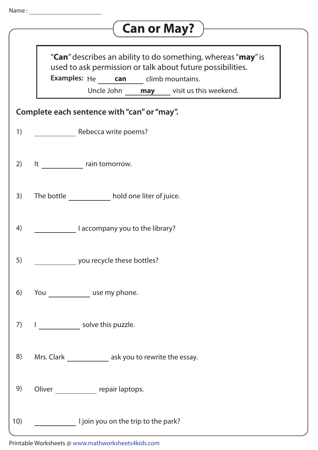| Name: |                                                                                                                                                                                                                            |
|-------|----------------------------------------------------------------------------------------------------------------------------------------------------------------------------------------------------------------------------|
|       | <b>Can or May?</b>                                                                                                                                                                                                         |
|       | " <b>Can</b> " describes an ability to do something, whereas " <b>may</b> " is<br>used to ask permission or talk about future possibilities.<br>Examples: He can climb mountains.<br>Uncle John may visit us this weekend. |
|       | Complete each sentence with "can" or "may".                                                                                                                                                                                |
| 1)    | Rebecca write poems?                                                                                                                                                                                                       |
| 2)    | It rain tomorrow.                                                                                                                                                                                                          |
| 3)    | The bottle <b>the hold one liter of juice</b> .                                                                                                                                                                            |
| 4)    | I accompany you to the library?                                                                                                                                                                                            |
| 5)    | you recycle these bottles?                                                                                                                                                                                                 |
| 6)    | You use my phone.                                                                                                                                                                                                          |
| 7)    | solve this puzzle.                                                                                                                                                                                                         |
| 8)    | Mrs. Clark ______________ ask you to rewrite the essay.                                                                                                                                                                    |
| 9)    | Oliver repair laptops.                                                                                                                                                                                                     |
| 10)   | I join you on the trip to the park?                                                                                                                                                                                        |